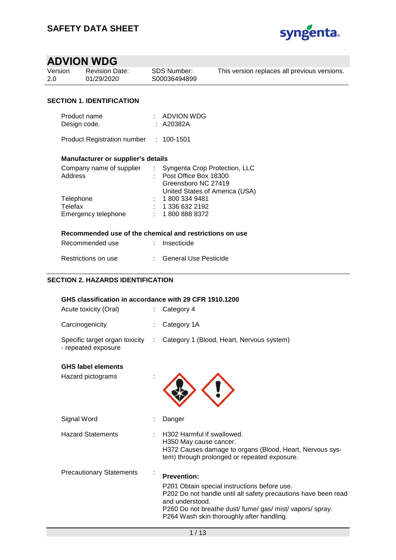

| <b>Revision Date:</b><br>01/29/2020 | This version replaces all previous versions. |
|-------------------------------------|----------------------------------------------|
|                                     |                                              |
|                                     | SDS Number:<br>S00036494899                  |

## **SECTION 1. IDENTIFICATION**

| Product name | : ADVION WDG |
|--------------|--------------|
| Design code. | : A20382A    |

Product Registration number : 100-1501

## **Manufacturer or supplier's details**

| : Syngenta Crop Protection, LLC |
|---------------------------------|
| : Post Office Box 18300         |
| Greensboro NC 27419             |
| United States of America (USA)  |
| : 18003349481                   |
| : 13366322192                   |
| : 18008888372                   |
|                                 |

#### **Recommended use of the chemical and restrictions on use**

| Recommended use     | : Insecticide           |
|---------------------|-------------------------|
| Restrictions on use | : General Use Pesticide |

# **SECTION 2. HAZARDS IDENTIFICATION**

|                                     | GHS classification in accordance with 29 CFR 1910.1200<br>Category 4                                                                                                                                                                                              |
|-------------------------------------|-------------------------------------------------------------------------------------------------------------------------------------------------------------------------------------------------------------------------------------------------------------------|
|                                     | Category 1A                                                                                                                                                                                                                                                       |
| Specific target organ toxicity<br>÷ | Category 1 (Blood, Heart, Nervous system)                                                                                                                                                                                                                         |
|                                     |                                                                                                                                                                                                                                                                   |
|                                     | Danger                                                                                                                                                                                                                                                            |
|                                     | H302 Harmful if swallowed.<br>H350 May cause cancer.<br>H372 Causes damage to organs (Blood, Heart, Nervous sys-<br>tem) through prolonged or repeated exposure.                                                                                                  |
|                                     | <b>Prevention:</b><br>P201 Obtain special instructions before use.<br>P202 Do not handle until all safety precautions have been read<br>and understood.<br>P260 Do not breathe dust/ fume/ gas/ mist/ vapors/ spray.<br>P264 Wash skin thoroughly after handling. |
|                                     |                                                                                                                                                                                                                                                                   |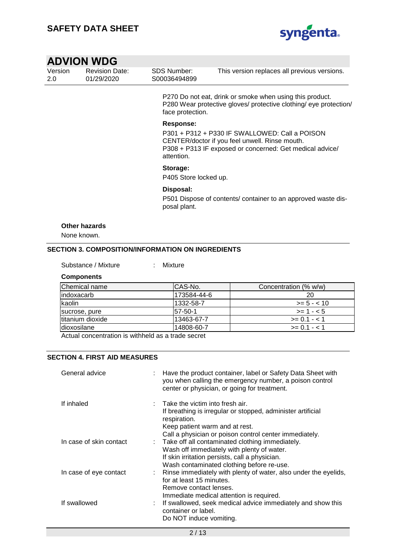

| SDS Number:<br><b>Revision Date:</b><br>Version<br>01/29/2020<br>S00036494899<br>-2.0 | This version replaces all previous versions. |
|---------------------------------------------------------------------------------------|----------------------------------------------|
|---------------------------------------------------------------------------------------|----------------------------------------------|

P270 Do not eat, drink or smoke when using this product. P280 Wear protective gloves/ protective clothing/ eye protection/ face protection.

#### **Response:**

P301 + P312 + P330 IF SWALLOWED: Call a POISON CENTER/doctor if you feel unwell. Rinse mouth. P308 + P313 IF exposed or concerned: Get medical advice/ attention.

#### **Storage:**

P405 Store locked up.

#### **Disposal:**

P501 Dispose of contents/ container to an approved waste disposal plant.

#### **Other hazards**

None known.

### **SECTION 3. COMPOSITION/INFORMATION ON INGREDIENTS**

Substance / Mixture : Mixture

#### **Components**

| Chemical name      | ICAS-No.    | Concentration (% w/w) |
|--------------------|-------------|-----------------------|
| lindoxacarb        | 173584-44-6 | 20                    |
| <b>Ikaolin</b>     | 1332-58-7   | $>= 5 - < 10$         |
| sucrose, pure      | 157-50-1    | $>= 1 - 5$            |
| titanium dioxide   | 13463-67-7  | $>= 0.1 - < 1$        |
| <b>dioxosilane</b> | 14808-60-7  | $>= 0.1 - 1.1$        |

Actual concentration is withheld as a trade secret

#### **SECTION 4. FIRST AID MEASURES**

| General advice          | Have the product container, label or Safety Data Sheet with<br>you when calling the emergency number, a poison control<br>center or physician, or going for treatment.                                                  |
|-------------------------|-------------------------------------------------------------------------------------------------------------------------------------------------------------------------------------------------------------------------|
| If inhaled              | $\therefore$ Take the victim into fresh air.<br>If breathing is irregular or stopped, administer artificial<br>respiration.<br>Keep patient warm and at rest.<br>Call a physician or poison control center immediately. |
| In case of skin contact | : Take off all contaminated clothing immediately.<br>Wash off immediately with plenty of water.<br>If skin irritation persists, call a physician.<br>Wash contaminated clothing before re-use.                          |
| In case of eye contact  | : Rinse immediately with plenty of water, also under the eyelids,<br>for at least 15 minutes.<br>Remove contact lenses.<br>Immediate medical attention is required.                                                     |
| If swallowed            | : If swallowed, seek medical advice immediately and show this<br>container or label.<br>Do NOT induce vomiting.                                                                                                         |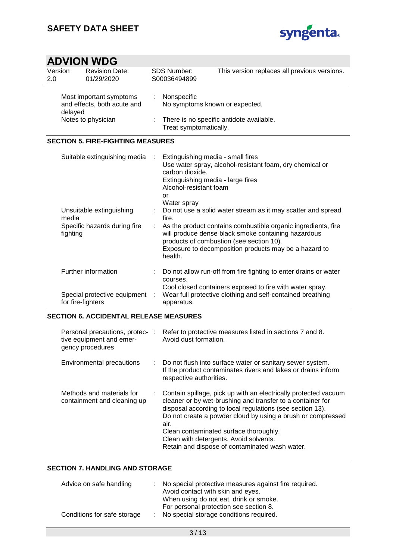

| Version<br>2.0 |                                          | <b>Revision Date:</b><br>01/29/2020                                                      |                 | <b>SDS Number:</b><br>S00036494899                                                                                                                           | This version replaces all previous versions.                                                                                                                                                                                                                                                                                                          |
|----------------|------------------------------------------|------------------------------------------------------------------------------------------|-----------------|--------------------------------------------------------------------------------------------------------------------------------------------------------------|-------------------------------------------------------------------------------------------------------------------------------------------------------------------------------------------------------------------------------------------------------------------------------------------------------------------------------------------------------|
|                | delayed                                  | Most important symptoms<br>and effects, both acute and                                   | ÷.              | Nonspecific<br>No symptoms known or expected.                                                                                                                |                                                                                                                                                                                                                                                                                                                                                       |
|                | Notes to physician                       |                                                                                          | ÷               | There is no specific antidote available.<br>Treat symptomatically.                                                                                           |                                                                                                                                                                                                                                                                                                                                                       |
|                |                                          | <b>SECTION 5. FIRE-FIGHTING MEASURES</b>                                                 |                 |                                                                                                                                                              |                                                                                                                                                                                                                                                                                                                                                       |
|                | media<br>fighting                        | Suitable extinguishing media<br>Unsuitable extinguishing<br>Specific hazards during fire | ÷               | Extinguishing media - small fires<br>carbon dioxide.<br>Extinguishing media - large fires<br>Alcohol-resistant foam<br>or<br>Water spray<br>fire.<br>health. | Use water spray, alcohol-resistant foam, dry chemical or<br>Do not use a solid water stream as it may scatter and spread<br>As the product contains combustible organic ingredients, fire<br>will produce dense black smoke containing hazardous<br>products of combustion (see section 10).<br>Exposure to decomposition products may be a hazard to |
|                | Further information<br>for fire-fighters | Special protective equipment                                                             | t.<br>$\sim$ 1. | courses.<br>apparatus.                                                                                                                                       | Do not allow run-off from fire fighting to enter drains or water<br>Cool closed containers exposed to fire with water spray.<br>Wear full protective clothing and self-contained breathing                                                                                                                                                            |

## **SECTION 6. ACCIDENTAL RELEASE MEASURES**

| Personal precautions, protec-:<br>tive equipment and emer-<br>gency procedures | Refer to protective measures listed in sections 7 and 8.<br>Avoid dust formation.                                                                                                                                                                                                                                                                                                                       |
|--------------------------------------------------------------------------------|---------------------------------------------------------------------------------------------------------------------------------------------------------------------------------------------------------------------------------------------------------------------------------------------------------------------------------------------------------------------------------------------------------|
| Environmental precautions                                                      | : Do not flush into surface water or sanitary sewer system.<br>If the product contaminates rivers and lakes or drains inform<br>respective authorities.                                                                                                                                                                                                                                                 |
| Methods and materials for<br>containment and cleaning up                       | Contain spillage, pick up with an electrically protected vacuum<br>cleaner or by wet-brushing and transfer to a container for<br>disposal according to local regulations (see section 13).<br>Do not create a powder cloud by using a brush or compressed<br>air.<br>Clean contaminated surface thoroughly.<br>Clean with detergents. Avoid solvents.<br>Retain and dispose of contaminated wash water. |

### **SECTION 7. HANDLING AND STORAGE**

| Advice on safe handling     | : No special protective measures against fire required.<br>Avoid contact with skin and eyes. |
|-----------------------------|----------------------------------------------------------------------------------------------|
|                             |                                                                                              |
|                             | When using do not eat, drink or smoke.                                                       |
|                             | For personal protection see section 8.                                                       |
| Conditions for safe storage | : No special storage conditions required.                                                    |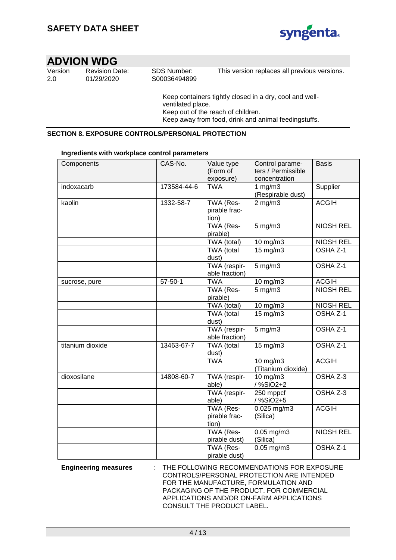

| Version | <b>Revision Date:</b> |
|---------|-----------------------|
| 2.0     | 01/29/2020            |

SDS Number: S00036494899

This version replaces all previous versions.

Keep containers tightly closed in a dry, cool and wellventilated place. Keep out of the reach of children. Keep away from food, drink and animal feedingstuffs.

## **SECTION 8. EXPOSURE CONTROLS/PERSONAL PROTECTION**

#### **Ingredients with workplace control parameters**

| Components       | CAS-No.       | Value type<br>(Form of              | Control parame-<br>ters / Permissible | <b>Basis</b>        |
|------------------|---------------|-------------------------------------|---------------------------------------|---------------------|
|                  |               | exposure)                           | concentration                         |                     |
| indoxacarb       | 173584-44-6   | <b>TWA</b>                          | 1 $mg/m3$<br>(Respirable dust)        | Supplier            |
| kaolin           | 1332-58-7     | TWA (Res-<br>pirable frac-<br>tion) | $2$ mg/m $3$                          | <b>ACGIH</b>        |
|                  |               | TWA (Res-<br>pirable)               | $5$ mg/m $3$                          | <b>NIOSH REL</b>    |
|                  |               | TWA (total)                         | 10 mg/m3                              | <b>NIOSH REL</b>    |
|                  |               | TWA (total<br>dust)                 | 15 mg/m3                              | OSHA <sub>Z-1</sub> |
|                  |               | TWA (respir-<br>able fraction)      | 5 mg/m3                               | OSHA Z-1            |
| sucrose, pure    | $57 - 50 - 1$ | <b>TWA</b>                          | 10 mg/m3                              | <b>ACGIH</b>        |
|                  |               | TWA (Res-<br>pirable)               | $5$ mg/m $3$                          | <b>NIOSH REL</b>    |
|                  |               | TWA (total)                         | 10 mg/m3                              | <b>NIOSH REL</b>    |
|                  |               | TWA (total<br>dust)                 | 15 mg/m3                              | $OSHAZ-1$           |
|                  |               | TWA (respir-<br>able fraction)      | $5$ mg/m $3$                          | OSHA Z-1            |
| titanium dioxide | 13463-67-7    | <b>TWA</b> (total<br>dust)          | $15 \text{ mg/m}$                     | OSHA Z-1            |
|                  |               | <b>TWA</b>                          | 10 mg/m3<br>(Titanium dioxide)        | <b>ACGIH</b>        |
| dioxosilane      | 14808-60-7    | TWA (respir-<br>able)               | 10 mg/m3<br>/%SiO2+2                  | OSHA Z-3            |
|                  |               | TWA (respir-<br>able)               | 250 mppcf<br>/%SiO2+5                 | OSHA Z-3            |
|                  |               | TWA (Res-<br>pirable frac-<br>tion) | $0.025$ mg/m3<br>(Silica)             | <b>ACGIH</b>        |
|                  |               | TWA (Res-<br>pirable dust)          | $0.05$ mg/m $3$<br>(Silica)           | <b>NIOSH REL</b>    |
|                  |               | TWA (Res-<br>pirable dust)          | $0.05$ mg/m3                          | OSHA Z-1            |

**Engineering measures** : THE FOLLOWING RECOMMENDATIONS FOR EXPOSURE CONTROLS/PERSONAL PROTECTION ARE INTENDED FOR THE MANUFACTURE, FORMULATION AND PACKAGING OF THE PRODUCT. FOR COMMERCIAL APPLICATIONS AND/OR ON-FARM APPLICATIONS CONSULT THE PRODUCT LABEL.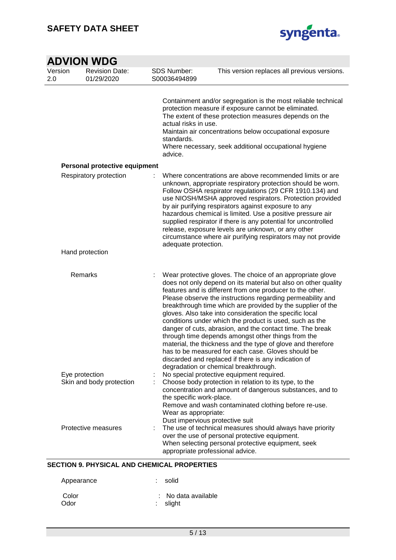

| <b>ADVION WDG</b> |                                            |                                                                                          |                                                                                                                                                                                                                                                                                                                                                                                                                                                                                                                                                                                                                                                                                                                                                                                       |  |  |
|-------------------|--------------------------------------------|------------------------------------------------------------------------------------------|---------------------------------------------------------------------------------------------------------------------------------------------------------------------------------------------------------------------------------------------------------------------------------------------------------------------------------------------------------------------------------------------------------------------------------------------------------------------------------------------------------------------------------------------------------------------------------------------------------------------------------------------------------------------------------------------------------------------------------------------------------------------------------------|--|--|
| Version<br>2.0    | <b>Revision Date:</b><br>01/29/2020        | <b>SDS Number:</b><br>S00036494899                                                       | This version replaces all previous versions.                                                                                                                                                                                                                                                                                                                                                                                                                                                                                                                                                                                                                                                                                                                                          |  |  |
|                   |                                            | actual risks in use.<br>standards.<br>advice.                                            | Containment and/or segregation is the most reliable technical<br>protection measure if exposure cannot be eliminated.<br>The extent of these protection measures depends on the<br>Maintain air concentrations below occupational exposure<br>Where necessary, seek additional occupational hygiene                                                                                                                                                                                                                                                                                                                                                                                                                                                                                   |  |  |
|                   | Personal protective equipment              |                                                                                          |                                                                                                                                                                                                                                                                                                                                                                                                                                                                                                                                                                                                                                                                                                                                                                                       |  |  |
|                   | Respiratory protection                     | adequate protection.                                                                     | Where concentrations are above recommended limits or are<br>unknown, appropriate respiratory protection should be worn.<br>Follow OSHA respirator regulations (29 CFR 1910.134) and<br>use NIOSH/MSHA approved respirators. Protection provided<br>by air purifying respirators against exposure to any<br>hazardous chemical is limited. Use a positive pressure air<br>supplied respirator if there is any potential for uncontrolled<br>release, exposure levels are unknown, or any other<br>circumstance where air purifying respirators may not provide                                                                                                                                                                                                                         |  |  |
|                   | Hand protection                            |                                                                                          |                                                                                                                                                                                                                                                                                                                                                                                                                                                                                                                                                                                                                                                                                                                                                                                       |  |  |
|                   | Remarks                                    |                                                                                          | Wear protective gloves. The choice of an appropriate glove<br>does not only depend on its material but also on other quality<br>features and is different from one producer to the other.<br>Please observe the instructions regarding permeability and<br>breakthrough time which are provided by the supplier of the<br>gloves. Also take into consideration the specific local<br>conditions under which the product is used, such as the<br>danger of cuts, abrasion, and the contact time. The break<br>through time depends amongst other things from the<br>material, the thickness and the type of glove and therefore<br>has to be measured for each case. Gloves should be<br>discarded and replaced if there is any indication of<br>degradation or chemical breakthrough. |  |  |
|                   | Eye protection<br>Skin and body protection | ÷<br>the specific work-place.<br>Wear as appropriate:<br>Dust impervious protective suit | No special protective equipment required.<br>Choose body protection in relation to its type, to the<br>concentration and amount of dangerous substances, and to<br>Remove and wash contaminated clothing before re-use.                                                                                                                                                                                                                                                                                                                                                                                                                                                                                                                                                               |  |  |
|                   | Protective measures                        |                                                                                          | The use of technical measures should always have priority<br>over the use of personal protective equipment.<br>When selecting personal protective equipment, seek<br>appropriate professional advice.                                                                                                                                                                                                                                                                                                                                                                                                                                                                                                                                                                                 |  |  |

### **SECTION 9. PHYSICAL AND CHEMICAL PROPERTIES**

| Appearance    | : solid                         |
|---------------|---------------------------------|
| Color<br>Odor | : No data available<br>: slight |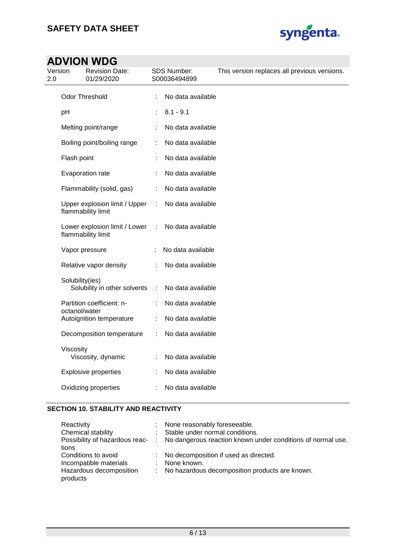

| 2.0 | Version         | <b>Revision Date:</b><br>01/29/2020                 |   | <b>SDS Number:</b><br>S00036494899 | This version replaces all previous versions. |
|-----|-----------------|-----------------------------------------------------|---|------------------------------------|----------------------------------------------|
|     |                 | <b>Odor Threshold</b>                               | ÷ | No data available                  |                                              |
|     | pH              |                                                     | ÷ | $8.1 - 9.1$                        |                                              |
|     |                 | Melting point/range                                 |   | No data available                  |                                              |
|     |                 | Boiling point/boiling range                         |   | No data available                  |                                              |
|     | Flash point     |                                                     |   | No data available                  |                                              |
|     |                 | Evaporation rate                                    |   | No data available                  |                                              |
|     |                 | Flammability (solid, gas)                           |   | No data available                  |                                              |
|     |                 | Upper explosion limit / Upper<br>flammability limit | ÷ | No data available                  |                                              |
|     |                 | Lower explosion limit / Lower<br>flammability limit | ÷ | No data available                  |                                              |
|     |                 | Vapor pressure                                      |   | No data available                  |                                              |
|     |                 | Relative vapor density                              |   | No data available                  |                                              |
|     | Solubility(ies) | Solubility in other solvents                        | ÷ | No data available                  |                                              |
|     | octanol/water   | Partition coefficient: n-                           |   | No data available                  |                                              |
|     |                 | Autoignition temperature                            |   | No data available                  |                                              |
|     |                 | Decomposition temperature                           | ÷ | No data available                  |                                              |
|     | Viscosity       | Viscosity, dynamic                                  |   | No data available                  |                                              |
|     |                 | <b>Explosive properties</b>                         |   | No data available                  |                                              |
|     |                 | Oxidizing properties                                |   | No data available                  |                                              |

### **SECTION 10. STABILITY AND REACTIVITY**

| Reactivity                          |    | None reasonably foreseeable.                                |
|-------------------------------------|----|-------------------------------------------------------------|
| Chemical stability                  |    | : Stable under normal conditions.                           |
| Possibility of hazardous reac- :    |    | No dangerous reaction known under conditions of normal use. |
| tions                               |    |                                                             |
| Conditions to avoid                 |    | : No decomposition if used as directed.                     |
| Incompatible materials              | ÷. | None known.                                                 |
| Hazardous decomposition<br>products | ÷. | No hazardous decomposition products are known.              |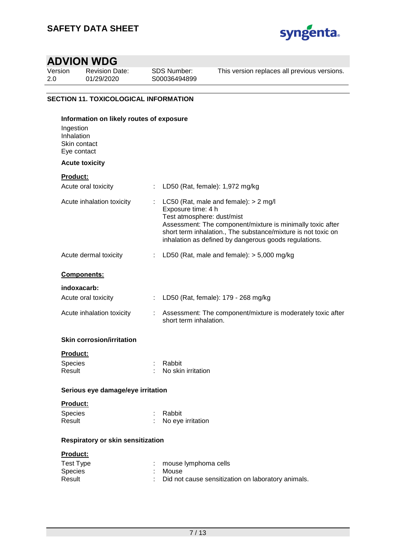

| Version | <b>Revision Date:</b> |
|---------|-----------------------|
| 2.0     | 01/29/2020            |

SDS Number: S00036494899 This version replaces all previous versions.

# **SECTION 11. TOXICOLOGICAL INFORMATION**

| Information on likely routes of exposure               |    |                                                                                                                                                                                                                                                                                     |
|--------------------------------------------------------|----|-------------------------------------------------------------------------------------------------------------------------------------------------------------------------------------------------------------------------------------------------------------------------------------|
| Ingestion<br>Inhalation<br>Skin contact<br>Eye contact |    |                                                                                                                                                                                                                                                                                     |
| <b>Acute toxicity</b>                                  |    |                                                                                                                                                                                                                                                                                     |
| <b>Product:</b>                                        |    |                                                                                                                                                                                                                                                                                     |
| Acute oral toxicity                                    |    | LD50 (Rat, female): 1,972 mg/kg                                                                                                                                                                                                                                                     |
| Acute inhalation toxicity                              | ÷. | LC50 (Rat, male and female): $> 2$ mg/l<br>Exposure time: 4 h<br>Test atmosphere: dust/mist<br>Assessment: The component/mixture is minimally toxic after<br>short term inhalation., The substance/mixture is not toxic on<br>inhalation as defined by dangerous goods regulations. |
| Acute dermal toxicity                                  |    | LD50 (Rat, male and female): $>$ 5,000 mg/kg                                                                                                                                                                                                                                        |
| <b>Components:</b>                                     |    |                                                                                                                                                                                                                                                                                     |
| indoxacarb:                                            |    |                                                                                                                                                                                                                                                                                     |
| Acute oral toxicity                                    |    | : LD50 (Rat, female): 179 - 268 mg/kg                                                                                                                                                                                                                                               |
| Acute inhalation toxicity                              |    | Assessment: The component/mixture is moderately toxic after<br>short term inhalation.                                                                                                                                                                                               |
| <b>Skin corrosion/irritation</b>                       |    |                                                                                                                                                                                                                                                                                     |
| <b>Product:</b>                                        |    |                                                                                                                                                                                                                                                                                     |
| Species<br>Result                                      |    | Rabbit<br>No skin irritation                                                                                                                                                                                                                                                        |
| Serious eye damage/eye irritation                      |    |                                                                                                                                                                                                                                                                                     |
| Product:                                               |    |                                                                                                                                                                                                                                                                                     |
| Species                                                |    | : Rabbit                                                                                                                                                                                                                                                                            |
| Result                                                 |    | No eye irritation                                                                                                                                                                                                                                                                   |
| Respiratory or skin sensitization                      |    |                                                                                                                                                                                                                                                                                     |
| Product:                                               |    |                                                                                                                                                                                                                                                                                     |
| <b>Test Type</b>                                       |    | mouse lymphoma cells                                                                                                                                                                                                                                                                |
| Species<br>Result                                      |    | Mouse<br>Did not cause sensitization on laboratory animals.                                                                                                                                                                                                                         |
|                                                        |    |                                                                                                                                                                                                                                                                                     |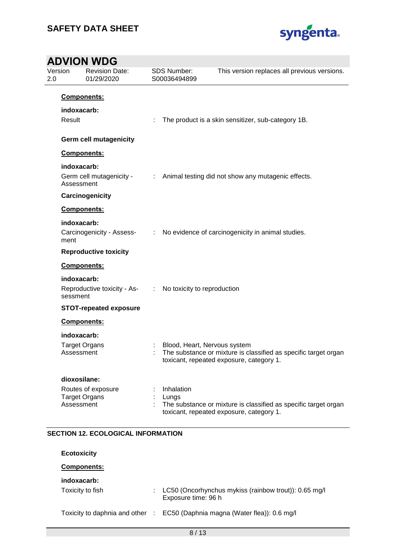

| Version<br>2.0 | <b>Revision Date:</b><br>01/29/2020                         |                               | <b>SDS Number:</b><br>S00036494899 | This version replaces all previous versions.                                                                |
|----------------|-------------------------------------------------------------|-------------------------------|------------------------------------|-------------------------------------------------------------------------------------------------------------|
| Result         | Components:<br>indoxacarb:                                  |                               |                                    | The product is a skin sensitizer, sub-category 1B.                                                          |
|                | <b>Germ cell mutagenicity</b>                               |                               |                                    |                                                                                                             |
|                | Components:                                                 |                               |                                    |                                                                                                             |
|                | indoxacarb:<br>Germ cell mutagenicity -<br>Assessment       |                               |                                    | : Animal testing did not show any mutagenic effects.                                                        |
|                | Carcinogenicity                                             |                               |                                    |                                                                                                             |
|                | Components:                                                 |                               |                                    |                                                                                                             |
| ment           | indoxacarb:<br>Carcinogenicity - Assess-                    | $\mathcal{L}^{\mathcal{L}}$ . |                                    | No evidence of carcinogenicity in animal studies.                                                           |
|                | <b>Reproductive toxicity</b>                                |                               |                                    |                                                                                                             |
|                | Components:                                                 |                               |                                    |                                                                                                             |
|                | indoxacarb:<br>Reproductive toxicity - As-<br>:<br>sessment |                               | No toxicity to reproduction        |                                                                                                             |
|                | <b>STOT-repeated exposure</b>                               |                               |                                    |                                                                                                             |
|                | Components:                                                 |                               |                                    |                                                                                                             |
|                | indoxacarb:                                                 |                               |                                    |                                                                                                             |
|                | <b>Target Organs</b><br>Assessment                          |                               | Blood, Heart, Nervous system       | The substance or mixture is classified as specific target organ<br>toxicant, repeated exposure, category 1. |
|                | dioxosilane:                                                |                               |                                    |                                                                                                             |
|                | Routes of exposure<br><b>Target Organs</b><br>Assessment    |                               | Inhalation<br>Lungs                | The substance or mixture is classified as specific target organ<br>toxicant, repeated exposure, category 1. |

| Ecotoxicity |  |
|-------------|--|
|             |  |

## **Components:**

## **indoxacarb:**

Toxicity to fish : LC50 (Oncorhynchus mykiss (rainbow trout)): 0.65 mg/l Exposure time: 96 h

Toxicity to daphnia and other : EC50 (Daphnia magna (Water flea)): 0.6 mg/l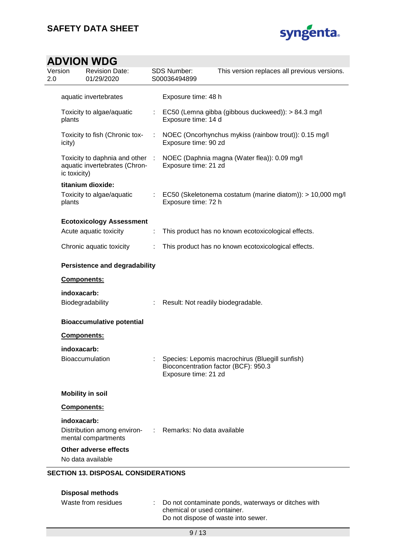

| Version      | <b>Revision Date:</b><br>01/29/2020                              |       | <b>SDS Number:</b><br>S00036494899 | This version replaces all previous versions.                                            |
|--------------|------------------------------------------------------------------|-------|------------------------------------|-----------------------------------------------------------------------------------------|
|              | aquatic invertebrates                                            |       | Exposure time: 48 h                |                                                                                         |
| plants       | Toxicity to algae/aquatic                                        |       | Exposure time: 14 d                | : EC50 (Lemna gibba (gibbous duckweed)): > 84.3 mg/l                                    |
| icity)       | Toxicity to fish (Chronic tox-                                   | ÷     | Exposure time: 90 zd               | NOEC (Oncorhynchus mykiss (rainbow trout)): 0.15 mg/l                                   |
| ic toxicity) | Toxicity to daphnia and other :<br>aquatic invertebrates (Chron- |       | Exposure time: 21 zd               | NOEC (Daphnia magna (Water flea)): 0.09 mg/l                                            |
|              | titanium dioxide:                                                |       |                                    |                                                                                         |
| plants       | Toxicity to algae/aquatic                                        |       | Exposure time: 72 h                | : EC50 (Skeletonema costatum (marine diatom)): > 10,000 mg/l                            |
|              | <b>Ecotoxicology Assessment</b>                                  |       |                                    |                                                                                         |
|              | Acute aquatic toxicity                                           | ÷     |                                    | This product has no known ecotoxicological effects.                                     |
|              | Chronic aquatic toxicity                                         | ÷     |                                    | This product has no known ecotoxicological effects.                                     |
|              | <b>Persistence and degradability</b>                             |       |                                    |                                                                                         |
|              | Components:                                                      |       |                                    |                                                                                         |
|              | indoxacarb:<br>Biodegradability                                  | ÷.    |                                    | Result: Not readily biodegradable.                                                      |
|              | <b>Bioaccumulative potential</b>                                 |       |                                    |                                                                                         |
|              | Components:                                                      |       |                                    |                                                                                         |
|              | indoxacarb:                                                      |       |                                    |                                                                                         |
|              | <b>Bioaccumulation</b>                                           |       | Exposure time: 21 zd               | Species: Lepomis macrochirus (Bluegill sunfish)<br>Bioconcentration factor (BCF): 950.3 |
|              | <b>Mobility in soil</b>                                          |       |                                    |                                                                                         |
|              | Components:                                                      |       |                                    |                                                                                         |
|              | indoxacarb:                                                      |       |                                    |                                                                                         |
|              | Distribution among environ-<br>mental compartments               | diam. | Remarks: No data available         |                                                                                         |
|              | Other adverse effects                                            |       |                                    |                                                                                         |
|              | No data available                                                |       |                                    |                                                                                         |

| Disposal methods    |                                                                                                                             |
|---------------------|-----------------------------------------------------------------------------------------------------------------------------|
| Waste from residues | : Do not contaminate ponds, waterways or ditches with<br>chemical or used container.<br>Do not dispose of waste into sewer. |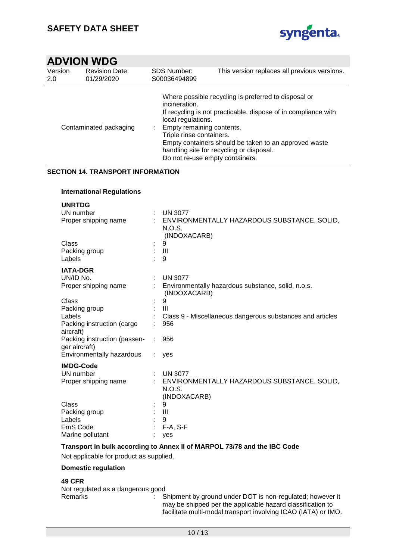

| Version<br><b>Revision Date:</b><br>01/29/2020<br>2.0 |                        | <b>SDS Number:</b><br>S00036494899                                                                                              | This version replaces all previous versions.                                                                                                                                                                                |
|-------------------------------------------------------|------------------------|---------------------------------------------------------------------------------------------------------------------------------|-----------------------------------------------------------------------------------------------------------------------------------------------------------------------------------------------------------------------------|
|                                                       | Contaminated packaging | incineration.<br>local regulations.<br>Empty remaining contents.<br>Triple rinse containers.<br>Do not re-use empty containers. | Where possible recycling is preferred to disposal or<br>If recycling is not practicable, dispose of in compliance with<br>Empty containers should be taken to an approved waste<br>handling site for recycling or disposal. |

# **SECTION 14. TRANSPORT INFORMATION**

## **International Regulations**

| <b>UNRTDG</b>                |                                                           |
|------------------------------|-----------------------------------------------------------|
| UN number                    | <b>UN 3077</b>                                            |
| Proper shipping name         | ENVIRONMENTALLY HAZARDOUS SUBSTANCE, SOLID,               |
|                              | N.O.S.                                                    |
|                              | (INDOXACARB)                                              |
| Class                        | 9                                                         |
| Packing group                | $\mathbf{III}$                                            |
| Labels                       | 9                                                         |
| <b>IATA-DGR</b>              |                                                           |
| UN/ID No.                    | <b>UN 3077</b>                                            |
| Proper shipping name         | Environmentally hazardous substance, solid, n.o.s.        |
|                              | (INDOXACARB)                                              |
| Class                        | 9                                                         |
| Packing group                | Ш                                                         |
| Labels                       | Class 9 - Miscellaneous dangerous substances and articles |
| Packing instruction (cargo   | 956                                                       |
| aircraft)                    |                                                           |
| Packing instruction (passen- | 956                                                       |
| ger aircraft)                |                                                           |
| Environmentally hazardous    | yes                                                       |
| <b>IMDG-Code</b>             |                                                           |
| UN number                    | <b>UN 3077</b>                                            |
| Proper shipping name         | ENVIRONMENTALLY HAZARDOUS SUBSTANCE, SOLID,               |
|                              | <b>N.O.S.</b>                                             |
|                              | (INDOXACARB)                                              |
| Class                        | 9                                                         |
| Packing group                | Ш                                                         |
| Labels                       | 9                                                         |
| EmS Code                     | $F-A, S-F$                                                |
| Marine pollutant             | yes                                                       |
|                              |                                                           |

### **Transport in bulk according to Annex II of MARPOL 73/78 and the IBC Code**

Not applicable for product as supplied.

### **Domestic regulation**

### **49 CFR**

Not regulated as a dangerous good Remarks : Shipment by ground under DOT is non-regulated; however it may be shipped per the applicable hazard classification to facilitate multi-modal transport involving ICAO (IATA) or IMO.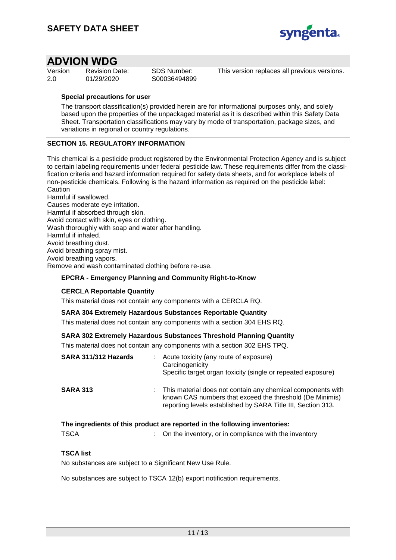

| Version | <b>Revision Date:</b> |  |
|---------|-----------------------|--|
| -2.0    | 01/29/2020            |  |

SDS Number: S00036494899 This version replaces all previous versions.

#### **Special precautions for user**

The transport classification(s) provided herein are for informational purposes only, and solely based upon the properties of the unpackaged material as it is described within this Safety Data Sheet. Transportation classifications may vary by mode of transportation, package sizes, and variations in regional or country regulations.

#### **SECTION 15. REGULATORY INFORMATION**

This chemical is a pesticide product registered by the Environmental Protection Agency and is subject to certain labeling requirements under federal pesticide law. These requirements differ from the classification criteria and hazard information required for safety data sheets, and for workplace labels of non-pesticide chemicals. Following is the hazard information as required on the pesticide label: **Caution** Harmful if swallowed.

Causes moderate eye irritation. Harmful if absorbed through skin. Avoid contact with skin, eyes or clothing. Wash thoroughly with soap and water after handling. Harmful if inhaled. Avoid breathing dust. Avoid breathing spray mist. Avoid breathing vapors. Remove and wash contaminated clothing before re-use.

### **EPCRA - Emergency Planning and Community Right-to-Know**

### **CERCLA Reportable Quantity**

This material does not contain any components with a CERCLA RQ.

#### **SARA 304 Extremely Hazardous Substances Reportable Quantity**

This material does not contain any components with a section 304 EHS RQ.

### **SARA 302 Extremely Hazardous Substances Threshold Planning Quantity**

This material does not contain any components with a section 302 EHS TPQ.

| SARA 311/312 Hazards |    | Acute toxicity (any route of exposure)<br>Carcinogenicity<br>Specific target organ toxicity (single or repeated exposure)                                                               |
|----------------------|----|-----------------------------------------------------------------------------------------------------------------------------------------------------------------------------------------|
| <b>SARA 313</b>      | t. | This material does not contain any chemical components with<br>known CAS numbers that exceed the threshold (De Minimis)<br>reporting levels established by SARA Title III, Section 313. |

### **The ingredients of this product are reported in the following inventories:**

| <b>TSCA</b> |  | On the inventory, or in compliance with the inventory |  |  |  |  |  |  |  |
|-------------|--|-------------------------------------------------------|--|--|--|--|--|--|--|
|-------------|--|-------------------------------------------------------|--|--|--|--|--|--|--|

### **TSCA list**

No substances are subject to a Significant New Use Rule.

No substances are subject to TSCA 12(b) export notification requirements.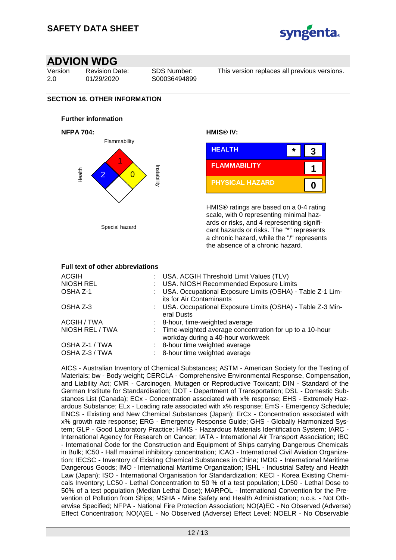

Version 2.0

Revision Date: 01/29/2020

SDS Number: S00036494899 This version replaces all previous versions.

# **SECTION 16. OTHER INFORMATION**

#### **Further information**





HMIS® ratings are based on a 0-4 rating scale, with 0 representing minimal hazards or risks, and 4 representing significant hazards or risks. The "\*" represents a chronic hazard, while the "/" represents the absence of a chronic hazard.

#### **Full text of other abbreviations** ACGIH : USA. ACGIH Threshold Limit Values (TLV) NIOSH REL : USA. NIOSH Recommended Exposure Limits OSHA Z-1 : USA. Occupational Exposure Limits (OSHA) - Table Z-1 Limits for Air Contaminants OSHA Z-3 : USA. Occupational Exposure Limits (OSHA) - Table Z-3 Mineral Dusts ACGIH / TWA : 8-hour, time-weighted average NIOSH REL / TWA : Time-weighted average concentration for up to a 10-hour workday during a 40-hour workweek OSHA Z-1 / TWA : 8-hour time weighted average OSHA Z-3 / TWA : 8-hour time weighted average

AICS - Australian Inventory of Chemical Substances; ASTM - American Society for the Testing of Materials; bw - Body weight; CERCLA - Comprehensive Environmental Response, Compensation, and Liability Act; CMR - Carcinogen, Mutagen or Reproductive Toxicant; DIN - Standard of the German Institute for Standardisation; DOT - Department of Transportation; DSL - Domestic Substances List (Canada); ECx - Concentration associated with x% response; EHS - Extremely Hazardous Substance; ELx - Loading rate associated with x% response; EmS - Emergency Schedule; ENCS - Existing and New Chemical Substances (Japan); ErCx - Concentration associated with x% growth rate response; ERG - Emergency Response Guide; GHS - Globally Harmonized System; GLP - Good Laboratory Practice; HMIS - Hazardous Materials Identification System; IARC - International Agency for Research on Cancer; IATA - International Air Transport Association; IBC - International Code for the Construction and Equipment of Ships carrying Dangerous Chemicals in Bulk; IC50 - Half maximal inhibitory concentration; ICAO - International Civil Aviation Organization; IECSC - Inventory of Existing Chemical Substances in China; IMDG - International Maritime Dangerous Goods; IMO - International Maritime Organization; ISHL - Industrial Safety and Health Law (Japan); ISO - International Organisation for Standardization; KECI - Korea Existing Chemicals Inventory; LC50 - Lethal Concentration to 50 % of a test population; LD50 - Lethal Dose to 50% of a test population (Median Lethal Dose); MARPOL - International Convention for the Prevention of Pollution from Ships; MSHA - Mine Safety and Health Administration; n.o.s. - Not Otherwise Specified; NFPA - National Fire Protection Association; NO(A)EC - No Observed (Adverse) Effect Concentration; NO(A)EL - No Observed (Adverse) Effect Level; NOELR - No Observable